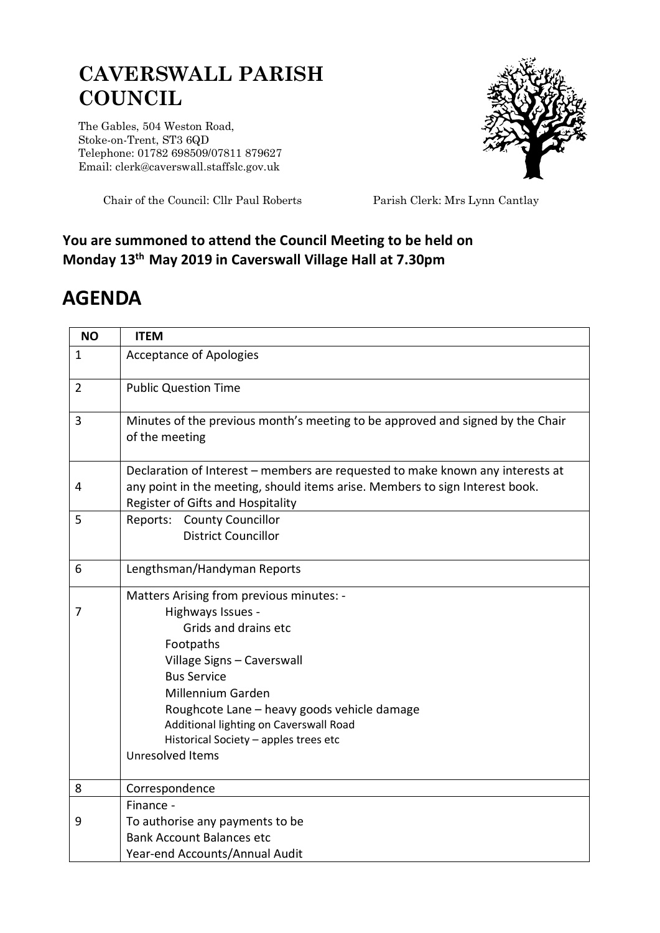## **CAVERSWALL PARISH COUNCIL**

The Gables, 504 Weston Road, Stoke-on-Trent, ST3 6QD Telephone: 01782 698509/07811 879627 Email: clerk@caverswall.staffslc.gov.uk



Chair of the Council: Cllr Paul Roberts Parish Clerk: Mrs Lynn Cantlay

## **You are summoned to attend the Council Meeting to be held on Monday 13th May 2019 in Caverswall Village Hall at 7.30pm**

## **AGENDA**

| <b>NO</b>      | <b>ITEM</b>                                                                                                                                                                                         |
|----------------|-----------------------------------------------------------------------------------------------------------------------------------------------------------------------------------------------------|
| $\mathbf{1}$   | <b>Acceptance of Apologies</b>                                                                                                                                                                      |
| $\overline{2}$ | <b>Public Question Time</b>                                                                                                                                                                         |
| 3              | Minutes of the previous month's meeting to be approved and signed by the Chair<br>of the meeting                                                                                                    |
| 4              | Declaration of Interest - members are requested to make known any interests at<br>any point in the meeting, should items arise. Members to sign Interest book.<br>Register of Gifts and Hospitality |
| 5              | Reports: County Councillor<br><b>District Councillor</b>                                                                                                                                            |
| 6              | Lengthsman/Handyman Reports                                                                                                                                                                         |
|                | Matters Arising from previous minutes: -                                                                                                                                                            |
| 7              | Highways Issues -                                                                                                                                                                                   |
|                | Grids and drains etc                                                                                                                                                                                |
|                | Footpaths                                                                                                                                                                                           |
|                | Village Signs - Caverswall                                                                                                                                                                          |
|                | <b>Bus Service</b>                                                                                                                                                                                  |
|                | Millennium Garden                                                                                                                                                                                   |
|                | Roughcote Lane - heavy goods vehicle damage<br>Additional lighting on Caverswall Road                                                                                                               |
|                | Historical Society - apples trees etc                                                                                                                                                               |
|                | Unresolved Items                                                                                                                                                                                    |
|                |                                                                                                                                                                                                     |
| 8              | Correspondence                                                                                                                                                                                      |
|                | Finance -                                                                                                                                                                                           |
| 9              | To authorise any payments to be                                                                                                                                                                     |
|                | <b>Bank Account Balances etc</b>                                                                                                                                                                    |
|                | Year-end Accounts/Annual Audit                                                                                                                                                                      |